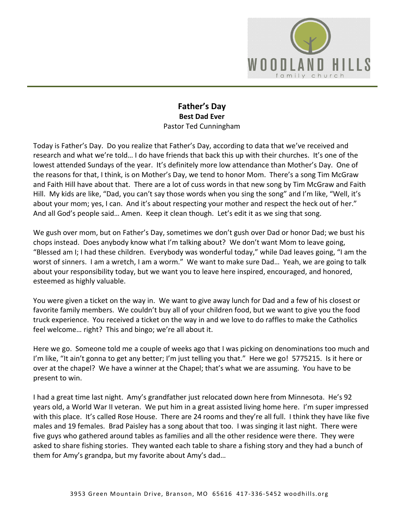

## **Father's Day Best Dad Ever**  Pastor Ted Cunningham

Today is Father's Day. Do you realize that Father's Day, according to data that we've received and research and what we're told… I do have friends that back this up with their churches. It's one of the lowest attended Sundays of the year. It's definitely more low attendance than Mother's Day. One of the reasons for that, I think, is on Mother's Day, we tend to honor Mom. There's a song Tim McGraw and Faith Hill have about that. There are a lot of cuss words in that new song by Tim McGraw and Faith Hill. My kids are like, "Dad, you can't say those words when you sing the song" and I'm like, "Well, it's about your mom; yes, I can. And it's about respecting your mother and respect the heck out of her." And all God's people said… Amen. Keep it clean though. Let's edit it as we sing that song.

We gush over mom, but on Father's Day, sometimes we don't gush over Dad or honor Dad; we bust his chops instead. Does anybody know what I'm talking about? We don't want Mom to leave going, "Blessed am I; I had these children. Everybody was wonderful today," while Dad leaves going, "I am the worst of sinners. I am a wretch, I am a worm." We want to make sure Dad… Yeah, we are going to talk about your responsibility today, but we want you to leave here inspired, encouraged, and honored, esteemed as highly valuable.

You were given a ticket on the way in. We want to give away lunch for Dad and a few of his closest or favorite family members. We couldn't buy all of your children food, but we want to give you the food truck experience. You received a ticket on the way in and we love to do raffles to make the Catholics feel welcome… right? This and bingo; we're all about it.

Here we go. Someone told me a couple of weeks ago that I was picking on denominations too much and I'm like, "It ain't gonna to get any better; I'm just telling you that." Here we go! 5775215. Is it here or over at the chapel? We have a winner at the Chapel; that's what we are assuming. You have to be present to win.

I had a great time last night. Amy's grandfather just relocated down here from Minnesota. He's 92 years old, a World War II veteran. We put him in a great assisted living home here. I'm super impressed with this place. It's called Rose House. There are 24 rooms and they're all full. I think they have like five males and 19 females. Brad Paisley has a song about that too. I was singing it last night. There were five guys who gathered around tables as families and all the other residence were there. They were asked to share fishing stories. They wanted each table to share a fishing story and they had a bunch of them for Amy's grandpa, but my favorite about Amy's dad…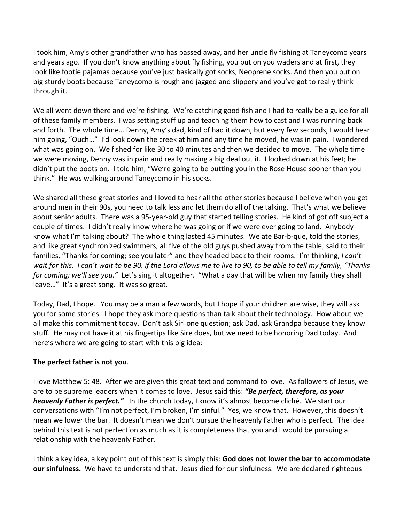I took him, Amy's other grandfather who has passed away, and her uncle fly fishing at Taneycomo years and years ago. If you don't know anything about fly fishing, you put on you waders and at first, they look like footie pajamas because you've just basically got socks, Neoprene socks. And then you put on big sturdy boots because Taneycomo is rough and jagged and slippery and you've got to really think through it.

We all went down there and we're fishing. We're catching good fish and I had to really be a guide for all of these family members. I was setting stuff up and teaching them how to cast and I was running back and forth. The whole time… Denny, Amy's dad, kind of had it down, but every few seconds, I would hear him going, "Ouch…" I'd look down the creek at him and any time he moved, he was in pain. I wondered what was going on. We fished for like 30 to 40 minutes and then we decided to move. The whole time we were moving, Denny was in pain and really making a big deal out it. I looked down at his feet; he didn't put the boots on. I told him, "We're going to be putting you in the Rose House sooner than you think." He was walking around Taneycomo in his socks.

We shared all these great stories and I loved to hear all the other stories because I believe when you get around men in their 90s, you need to talk less and let them do all of the talking. That's what we believe about senior adults. There was a 95-year-old guy that started telling stories. He kind of got off subject a couple of times. I didn't really know where he was going or if we were ever going to land. Anybody know what I'm talking about? The whole thing lasted 45 minutes. We ate Bar-b-que, told the stories, and like great synchronized swimmers, all five of the old guys pushed away from the table, said to their families, "Thanks for coming; see you later" and they headed back to their rooms. I'm thinking, *I can't wait for this. I can't wait to be 90, if the Lord allows me to live to 90, to be able to tell my family, "Thanks for coming; we'll see you."* Let's sing it altogether. "What a day that will be when my family they shall leave…" It's a great song. It was so great.

Today, Dad, I hope… You may be a man a few words, but I hope if your children are wise, they will ask you for some stories. I hope they ask more questions than talk about their technology. How about we all make this commitment today. Don't ask Siri one question; ask Dad, ask Grandpa because they know stuff. He may not have it at his fingertips like Sire does, but we need to be honoring Dad today. And here's where we are going to start with this big idea:

## **The perfect father is not you**.

I love Matthew 5: 48. After we are given this great text and command to love. As followers of Jesus, we are to be supreme leaders when it comes to love. Jesus said this: *"Be perfect, therefore, as your heavenly Father is perfect."* In the church today, I know it's almost become cliché. We start our conversations with "I'm not perfect, I'm broken, I'm sinful." Yes, we know that. However, this doesn't mean we lower the bar. It doesn't mean we don't pursue the heavenly Father who is perfect. The idea behind this text is not perfection as much as it is completeness that you and I would be pursuing a relationship with the heavenly Father.

I think a key idea, a key point out of this text is simply this: **God does not lower the bar to accommodate our sinfulness.** We have to understand that. Jesus died for our sinfulness. We are declared righteous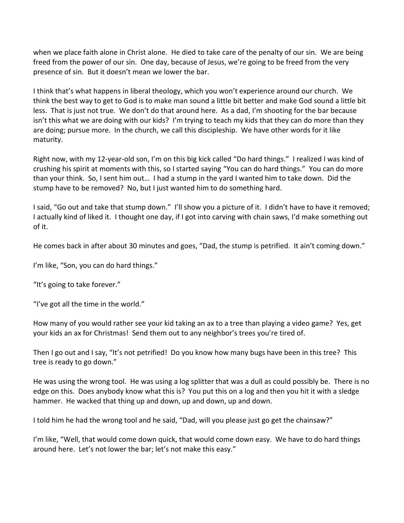when we place faith alone in Christ alone. He died to take care of the penalty of our sin. We are being freed from the power of our sin. One day, because of Jesus, we're going to be freed from the very presence of sin. But it doesn't mean we lower the bar.

I think that's what happens in liberal theology, which you won't experience around our church. We think the best way to get to God is to make man sound a little bit better and make God sound a little bit less. That is just not true. We don't do that around here. As a dad, I'm shooting for the bar because isn't this what we are doing with our kids? I'm trying to teach my kids that they can do more than they are doing; pursue more. In the church, we call this discipleship. We have other words for it like maturity.

Right now, with my 12-year-old son, I'm on this big kick called "Do hard things." I realized I was kind of crushing his spirit at moments with this, so I started saying "You can do hard things." You can do more than your think. So, I sent him out… I had a stump in the yard I wanted him to take down. Did the stump have to be removed? No, but I just wanted him to do something hard.

I said, "Go out and take that stump down." I'll show you a picture of it. I didn't have to have it removed; I actually kind of liked it. I thought one day, if I got into carving with chain saws, I'd make something out of it.

He comes back in after about 30 minutes and goes, "Dad, the stump is petrified. It ain't coming down."

I'm like, "Son, you can do hard things."

"It's going to take forever."

"I've got all the time in the world."

How many of you would rather see your kid taking an ax to a tree than playing a video game? Yes, get your kids an ax for Christmas! Send them out to any neighbor's trees you're tired of.

Then I go out and I say, "It's not petrified! Do you know how many bugs have been in this tree? This tree is ready to go down."

He was using the wrong tool. He was using a log splitter that was a dull as could possibly be. There is no edge on this. Does anybody know what this is? You put this on a log and then you hit it with a sledge hammer. He wacked that thing up and down, up and down, up and down.

I told him he had the wrong tool and he said, "Dad, will you please just go get the chainsaw?"

I'm like, "Well, that would come down quick, that would come down easy. We have to do hard things around here. Let's not lower the bar; let's not make this easy."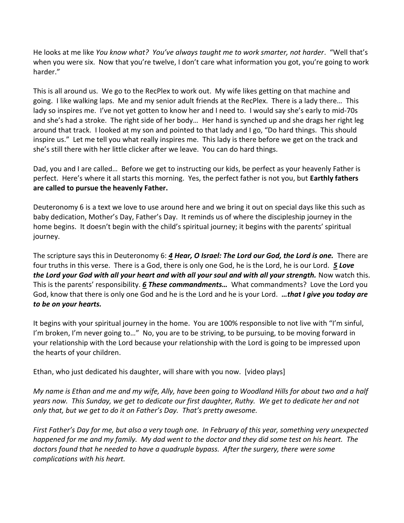He looks at me like *You know what? You've always taught me to work smarter, not harder*. "Well that's when you were six. Now that you're twelve, I don't care what information you got, you're going to work harder."

This is all around us. We go to the RecPlex to work out. My wife likes getting on that machine and going. I like walking laps. Me and my senior adult friends at the RecPlex. There is a lady there… This lady so inspires me. I've not yet gotten to know her and I need to. I would say she's early to mid-70s and she's had a stroke. The right side of her body… Her hand is synched up and she drags her right leg around that track. I looked at my son and pointed to that lady and I go, "Do hard things. This should inspire us." Let me tell you what really inspires me. This lady is there before we get on the track and she's still there with her little clicker after we leave. You can do hard things.

Dad, you and I are called… Before we get to instructing our kids, be perfect as your heavenly Father is perfect. Here's where it all starts this morning. Yes, the perfect father is not you, but **Earthly fathers are called to pursue the heavenly Father.** 

Deuteronomy 6 is a text we love to use around here and we bring it out on special days like this such as baby dedication, Mother's Day, Father's Day. It reminds us of where the discipleship journey in the home begins. It doesn't begin with the child's spiritual journey; it begins with the parents' spiritual journey.

The scripture says this in Deuteronomy 6: *[4](http://www.studylight.org/desk/?q=de%206:4&t1=en_niv&sr=1) Hear, O Israel: The Lord our God, the Lord is one.* There are four truths in this verse. There is a God, there is only one God, he is the Lord, he is our Lord. *[5](http://www.studylight.org/desk/?q=de%206:5&t1=en_niv&sr=1) Love the Lord your God with all your heart and with all your soul and with all your strength.* Now watch this. This is the parents' responsibility. *[6](http://www.studylight.org/desk/?q=de%206:6&t1=en_niv&sr=1) These commandments…* What commandments? Love the Lord you God, know that there is only one God and he is the Lord and he is your Lord. *…that I give you today are to be on your hearts.*

It begins with your spiritual journey in the home. You are 100% responsible to not live with "I'm sinful, I'm broken, I'm never going to..." No, you are to be striving, to be pursuing, to be moving forward in your relationship with the Lord because your relationship with the Lord is going to be impressed upon the hearts of your children.

Ethan, who just dedicated his daughter, will share with you now. [video plays]

*My name is Ethan and me and my wife, Ally, have been going to Woodland Hills for about two and a half years now. This Sunday, we get to dedicate our first daughter, Ruthy. We get to dedicate her and not only that, but we get to do it on Father's Day. That's pretty awesome.* 

*First Father's Day for me, but also a very tough one. In February of this year, something very unexpected happened for me and my family. My dad went to the doctor and they did some test on his heart. The doctors found that he needed to have a quadruple bypass. After the surgery, there were some complications with his heart.*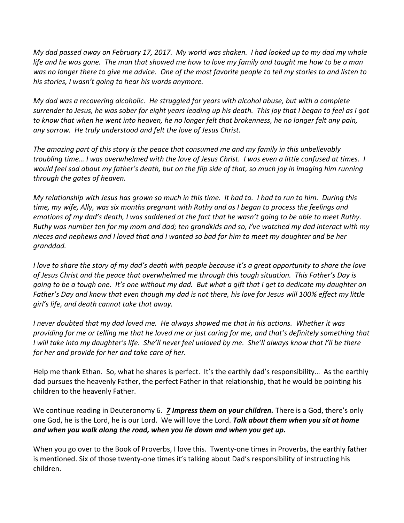*My dad passed away on February 17, 2017. My world was shaken. I had looked up to my dad my whole life and he was gone. The man that showed me how to love my family and taught me how to be a man was no longer there to give me advice. One of the most favorite people to tell my stories to and listen to his stories, I wasn't going to hear his words anymore.* 

*My dad was a recovering alcoholic. He struggled for years with alcohol abuse, but with a complete surrender to Jesus, he was sober for eight years leading up his death. This joy that I began to feel as I got to know that when he went into heaven, he no longer felt that brokenness, he no longer felt any pain, any sorrow. He truly understood and felt the love of Jesus Christ.* 

*The amazing part of this story is the peace that consumed me and my family in this unbelievably troubling time… I was overwhelmed with the love of Jesus Christ. I was even a little confused at times. I would feel sad about my father's death, but on the flip side of that, so much joy in imaging him running through the gates of heaven.* 

*My relationship with Jesus has grown so much in this time. It had to. I had to run to him. During this time, my wife, Ally, was six months pregnant with Ruthy and as I began to process the feelings and emotions of my dad's death, I was saddened at the fact that he wasn't going to be able to meet Ruthy. Ruthy was number ten for my mom and dad; ten grandkids and so, I've watched my dad interact with my nieces and nephews and I loved that and I wanted so bad for him to meet my daughter and be her granddad.* 

*I love to share the story of my dad's death with people because it's a great opportunity to share the love of Jesus Christ and the peace that overwhelmed me through this tough situation. This Father's Day is going to be a tough one. It's one without my dad. But what a gift that I get to dedicate my daughter on Father's Day and know that even though my dad is not there, his love for Jesus will 100% effect my little girl's life, and death cannot take that away.* 

*I never doubted that my dad loved me. He always showed me that in his actions. Whether it was providing for me or telling me that he loved me or just caring for me, and that's definitely something that I will take into my daughter's life. She'll never feel unloved by me. She'll always know that I'll be there for her and provide for her and take care of her.* 

Help me thank Ethan. So, what he shares is perfect. It's the earthly dad's responsibility… As the earthly dad pursues the heavenly Father, the perfect Father in that relationship, that he would be pointing his children to the heavenly Father.

We continue reading in Deuteronomy 6*. [7](http://www.studylight.org/desk/?q=de%206:7&t1=en_niv&sr=1) Impress them on your children.* There is a God, there's only one God, he is the Lord, he is our Lord. We will love the Lord. *Talk about them when you sit at home and when you walk along the road, when you lie down and when you get up.* 

When you go over to the Book of Proverbs, I love this. Twenty-one times in Proverbs, the earthly father is mentioned. Six of those twenty-one times it's talking about Dad's responsibility of instructing his children.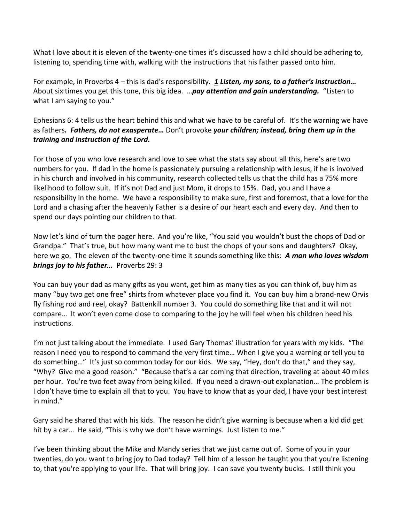What I love about it is eleven of the twenty-one times it's discussed how a child should be adhering to, listening to, spending time with, walking with the instructions that his father passed onto him.

For example, in Proverbs 4 – this is dad's responsibility. *[1](http://www.studylight.org/desk/?q=pr%204:1&t1=en_niv&sr=1) Listen, my sons, to a father's instruction…* About six times you get this tone, this big idea. …*pay attention and gain understanding.* "Listen to what I am saying to you."

Ephesians 6: 4 tells us the heart behind this and what we have to be careful of. It's the warning we have as fathers*. Fathers, do not exasperate…* Don't provoke *your children; instead, bring them up in the training and instruction of the Lord.*

For those of you who love research and love to see what the stats say about all this, here's are two numbers for you. If dad in the home is passionately pursuing a relationship with Jesus, if he is involved in his church and involved in his community, research collected tells us that the child has a 75% more likelihood to follow suit. If it's not Dad and just Mom, it drops to 15%. Dad, you and I have a responsibility in the home. We have a responsibility to make sure, first and foremost, that a love for the Lord and a chasing after the heavenly Father is a desire of our heart each and every day. And then to spend our days pointing our children to that.

Now let's kind of turn the pager here. And you're like, "You said you wouldn't bust the chops of Dad or Grandpa." That's true, but how many want me to bust the chops of your sons and daughters? Okay, here we go. The eleven of the twenty-one time it sounds something like this: *A man who loves wisdom brings joy to his father…* Proverbs 29: 3

You can buy your dad as many gifts as you want, get him as many ties as you can think of, buy him as many "buy two get one free" shirts from whatever place you find it. You can buy him a brand-new Orvis fly fishing rod and reel, okay? Battenkill number 3. You could do something like that and it will not compare… It won't even come close to comparing to the joy he will feel when his children heed his instructions.

I'm not just talking about the immediate. I used Gary Thomas' illustration for years with my kids. "The reason I need you to respond to command the very first time… When I give you a warning or tell you to do something…" It's just so common today for our kids. We say, "Hey, don't do that," and they say, "Why? Give me a good reason." "Because that's a car coming that direction, traveling at about 40 miles per hour. You're two feet away from being killed. If you need a drawn-out explanation… The problem is I don't have time to explain all that to you. You have to know that as your dad, I have your best interest in mind."

Gary said he shared that with his kids. The reason he didn't give warning is because when a kid did get hit by a car... He said, "This is why we don't have warnings. Just listen to me."

I've been thinking about the Mike and Mandy series that we just came out of. Some of you in your twenties, do you want to bring joy to Dad today? Tell him of a lesson he taught you that you're listening to, that you're applying to your life. That will bring joy. I can save you twenty bucks. I still think you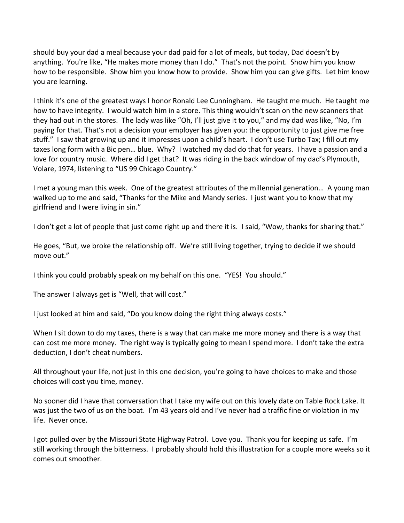should buy your dad a meal because your dad paid for a lot of meals, but today, Dad doesn't by anything. You're like, "He makes more money than I do." That's not the point. Show him you know how to be responsible. Show him you know how to provide. Show him you can give gifts. Let him know you are learning.

I think it's one of the greatest ways I honor Ronald Lee Cunningham. He taught me much. He taught me how to have integrity. I would watch him in a store. This thing wouldn't scan on the new scanners that they had out in the stores. The lady was like "Oh, I'll just give it to you," and my dad was like, "No, I'm paying for that. That's not a decision your employer has given you: the opportunity to just give me free stuff." I saw that growing up and it impresses upon a child's heart. I don't use Turbo Tax; I fill out my taxes long form with a Bic pen… blue. Why? I watched my dad do that for years. I have a passion and a love for country music. Where did I get that? It was riding in the back window of my dad's Plymouth, Volare, 1974, listening to "US 99 Chicago Country."

I met a young man this week. One of the greatest attributes of the millennial generation… A young man walked up to me and said, "Thanks for the Mike and Mandy series. I just want you to know that my girlfriend and I were living in sin."

I don't get a lot of people that just come right up and there it is. I said, "Wow, thanks for sharing that."

He goes, "But, we broke the relationship off. We're still living together, trying to decide if we should move out."

I think you could probably speak on my behalf on this one. "YES! You should."

The answer I always get is "Well, that will cost."

I just looked at him and said, "Do you know doing the right thing always costs."

When I sit down to do my taxes, there is a way that can make me more money and there is a way that can cost me more money. The right way is typically going to mean I spend more. I don't take the extra deduction, I don't cheat numbers.

All throughout your life, not just in this one decision, you're going to have choices to make and those choices will cost you time, money.

No sooner did I have that conversation that I take my wife out on this lovely date on Table Rock Lake. It was just the two of us on the boat. I'm 43 years old and I've never had a traffic fine or violation in my life. Never once.

I got pulled over by the Missouri State Highway Patrol. Love you. Thank you for keeping us safe. I'm still working through the bitterness. I probably should hold this illustration for a couple more weeks so it comes out smoother.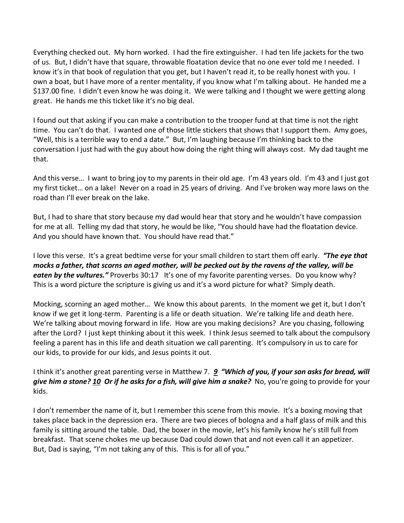Everything checked out. My horn worked. I had the fire extinguisher. I had ten life jackets for the two of us. But, I didn't have that square, throwable floatation device that no one ever told me I needed. I know it's in that book of regulation that you get, but I haven't read it, to be really honest with you. I own a boat, but I have more of a renter mentality, if you know what I'm talking about. He handed me a \$137.00 fine. I didn't even know he was doing it. We were talking and I thought we were getting along great. He hands me this ticket like it's no big deal.

I found out that asking if you can make a contribution to the trooper fund at that time is not the right time. You can't do that. I wanted one of those little stickers that shows that I support them. Amy goes, "Well, this is a terrible way to end a date." But, I'm laughing because I'm thinking back to the conversation I just had with the guy about how doing the right thing will always cost. My dad taught me that.

And this verse… I want to bring joy to my parents in their old age. I'm 43 years old. I'm 43 and I just got my first ticket… on a lake! Never on a road in 25 years of driving. And I've broken way more laws on the road than I'll ever break on the lake.

But, I had to share that story because my dad would hear that story and he wouldn't have compassion for me at all. Telling my dad that story, he would be like, "You should have had the floatation device. And you should have known that. You should have read that."

I love this verse. It's a great bedtime verse for your small children to start them off early. *"The eye that mocks a father, that scorns an aged mother, will be pecked out by the ravens of the valley, will be eaten by the vultures.* Proverbs 30:17 It's one of my favorite parenting verses. Do you know why? This is a word picture the scripture is giving us and it's a word picture for what? Simply death.

Mocking, scorning an aged mother… We know this about parents. In the moment we get it, but I don't know if we get it long-term. Parenting is a life or death situation. We're talking life and death here. We're talking about moving forward in life. How are you making decisions? Are you chasing, following after the Lord? I just kept thinking about it this week. I think Jesus seemed to talk about the compulsory feeling a parent has in this life and death situation we call parenting. It's compulsory in us to care for our kids, to provide for our kids, and Jesus points it out.

I think it's another great parenting verse in Matthew 7. *[9](http://www.studylight.org/desk/?q=mt%207:9&t1=en_niv&sr=1) "Which of you, if your son asks for bread, will give him a stone? [10](http://www.studylight.org/desk/?q=mt%207:10&t1=en_niv&sr=1) Or if he asks for a fish, will give him a snake?* No, you're going to provide for your kids.

I don't remember the name of it, but I remember this scene from this movie. It's a boxing moving that takes place back in the depression era. There are two pieces of bologna and a half glass of milk and this family is sitting around the table. Dad, the boxer in the movie, let's his family know he's still full from breakfast. That scene chokes me up because Dad could down that and not even call it an appetizer. But, Dad is saying, "I'm not taking any of this. This is for all of you."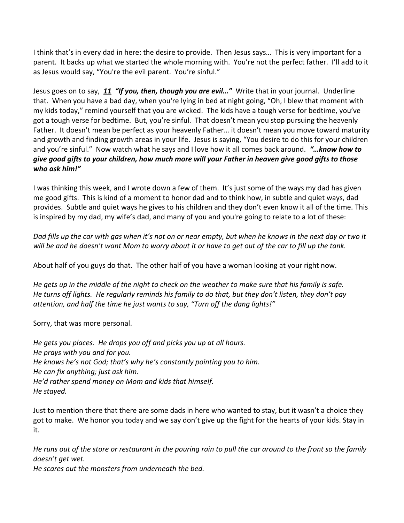I think that's in every dad in here: the desire to provide. Then Jesus says… This is very important for a parent. It backs up what we started the whole morning with. You're not the perfect father. I'll add to it as Jesus would say, "You're the evil parent. You're sinful."

Jesus goes on to say, *[11](http://www.studylight.org/desk/?q=mt%207:11&t1=en_niv&sr=1) "If you, then, though you are evil…"* Write that in your journal. Underline that. When you have a bad day, when you're lying in bed at night going, "Oh, I blew that moment with my kids today," remind yourself that you are wicked. The kids have a tough verse for bedtime, you've got a tough verse for bedtime. But, you're sinful. That doesn't mean you stop pursuing the heavenly Father. It doesn't mean be perfect as your heavenly Father… it doesn't mean you move toward maturity and growth and finding growth areas in your life. Jesus is saying, "You desire to do this for your children and you're sinful." Now watch what he says and I love how it all comes back around. *"…know how to give good gifts to your children, how much more will your Father in heaven give good gifts to those who ask him!"*

I was thinking this week, and I wrote down a few of them. It's just some of the ways my dad has given me good gifts. This is kind of a moment to honor dad and to think how, in subtle and quiet ways, dad provides. Subtle and quiet ways he gives to his children and they don't even know it all of the time. This is inspired by my dad, my wife's dad, and many of you and you're going to relate to a lot of these:

*Dad fills up the car with gas when it's not on or near empty, but when he knows in the next day or two it will be and he doesn't want Mom to worry about it or have to get out of the car to fill up the tank.*

About half of you guys do that. The other half of you have a woman looking at your right now.

*He gets up in the middle of the night to check on the weather to make sure that his family is safe. He turns off lights. He regularly reminds his family to do that, but they don't listen, they don't pay attention, and half the time he just wants to say, "Turn off the dang lights!"*

Sorry, that was more personal.

*He gets you places. He drops you off and picks you up at all hours. He prays with you and for you. He knows he's not God; that's why he's constantly pointing you to him. He can fix anything; just ask him. He'd rather spend money on Mom and kids that himself. He stayed.*

Just to mention there that there are some dads in here who wanted to stay, but it wasn't a choice they got to make. We honor you today and we say don't give up the fight for the hearts of your kids. Stay in it.

*He runs out of the store or restaurant in the pouring rain to pull the car around to the front so the family doesn't get wet.*

*He scares out the monsters from underneath the bed.*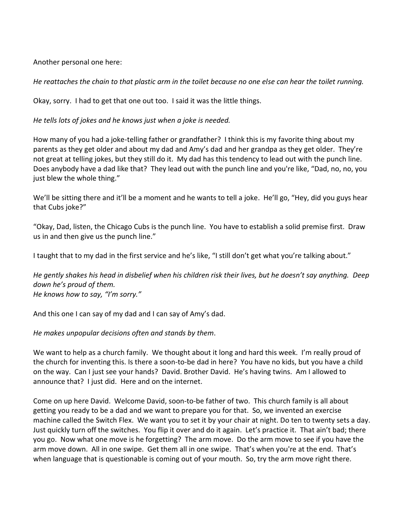Another personal one here:

*He reattaches the chain to that plastic arm in the toilet because no one else can hear the toilet running.* 

Okay, sorry. I had to get that one out too. I said it was the little things.

*He tells lots of jokes and he knows just when a joke is needed.* 

How many of you had a joke-telling father or grandfather? I think this is my favorite thing about my parents as they get older and about my dad and Amy's dad and her grandpa as they get older. They're not great at telling jokes, but they still do it. My dad has this tendency to lead out with the punch line. Does anybody have a dad like that? They lead out with the punch line and you're like, "Dad, no, no, you just blew the whole thing."

We'll be sitting there and it'll be a moment and he wants to tell a joke. He'll go, "Hey, did you guys hear that Cubs joke?"

"Okay, Dad, listen, the Chicago Cubs is the punch line. You have to establish a solid premise first. Draw us in and then give us the punch line."

I taught that to my dad in the first service and he's like, "I still don't get what you're talking about."

*He gently shakes his head in disbelief when his children risk their lives, but he doesn't say anything. Deep down he's proud of them. He knows how to say, "I'm sorry."*

And this one I can say of my dad and I can say of Amy's dad.

*He makes unpopular decisions often and stands by them*.

We want to help as a church family. We thought about it long and hard this week. I'm really proud of the church for inventing this. Is there a soon-to-be dad in here? You have no kids, but you have a child on the way. Can I just see your hands? David. Brother David. He's having twins. Am I allowed to announce that? I just did. Here and on the internet.

Come on up here David. Welcome David, soon-to-be father of two. This church family is all about getting you ready to be a dad and we want to prepare you for that. So, we invented an exercise machine called the Switch Flex. We want you to set it by your chair at night. Do ten to twenty sets a day. Just quickly turn off the switches. You flip it over and do it again. Let's practice it. That ain't bad; there you go. Now what one move is he forgetting? The arm move. Do the arm move to see if you have the arm move down. All in one swipe. Get them all in one swipe. That's when you're at the end. That's when language that is questionable is coming out of your mouth. So, try the arm move right there.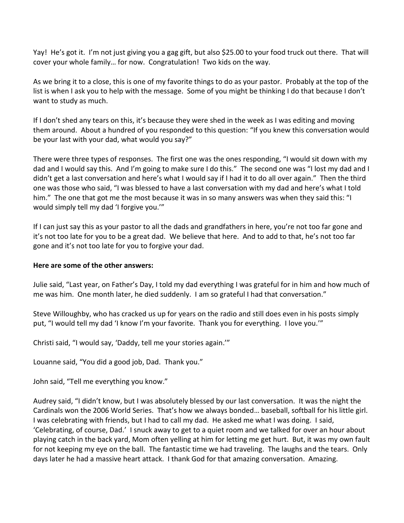Yay! He's got it. I'm not just giving you a gag gift, but also \$25.00 to your food truck out there. That will cover your whole family… for now. Congratulation! Two kids on the way.

As we bring it to a close, this is one of my favorite things to do as your pastor. Probably at the top of the list is when I ask you to help with the message. Some of you might be thinking I do that because I don't want to study as much.

If I don't shed any tears on this, it's because they were shed in the week as I was editing and moving them around. About a hundred of you responded to this question: "If you knew this conversation would be your last with your dad, what would you say?"

There were three types of responses. The first one was the ones responding, "I would sit down with my dad and I would say this. And I'm going to make sure I do this." The second one was "I lost my dad and I didn't get a last conversation and here's what I would say if I had it to do all over again." Then the third one was those who said, "I was blessed to have a last conversation with my dad and here's what I told him." The one that got me the most because it was in so many answers was when they said this: "I would simply tell my dad 'I forgive you.'"

If I can just say this as your pastor to all the dads and grandfathers in here, you're not too far gone and it's not too late for you to be a great dad. We believe that here. And to add to that, he's not too far gone and it's not too late for you to forgive your dad.

## **Here are some of the other answers:**

Julie said, "Last year, on Father's Day, I told my dad everything I was grateful for in him and how much of me was him. One month later, he died suddenly. I am so grateful I had that conversation."

Steve Willoughby, who has cracked us up for years on the radio and still does even in his posts simply put, "I would tell my dad 'I know I'm your favorite. Thank you for everything. I love you.""

Christi said, "I would say, 'Daddy, tell me your stories again.'"

Louanne said, "You did a good job, Dad. Thank you."

John said, "Tell me everything you know."

Audrey said, "I didn't know, but I was absolutely blessed by our last conversation. It was the night the Cardinals won the 2006 World Series. That's how we always bonded… baseball, softball for his little girl. I was celebrating with friends, but I had to call my dad. He asked me what I was doing. I said, 'Celebrating, of course, Dad.' I snuck away to get to a quiet room and we talked for over an hour about playing catch in the back yard, Mom often yelling at him for letting me get hurt. But, it was my own fault for not keeping my eye on the ball. The fantastic time we had traveling. The laughs and the tears. Only days later he had a massive heart attack. I thank God for that amazing conversation. Amazing.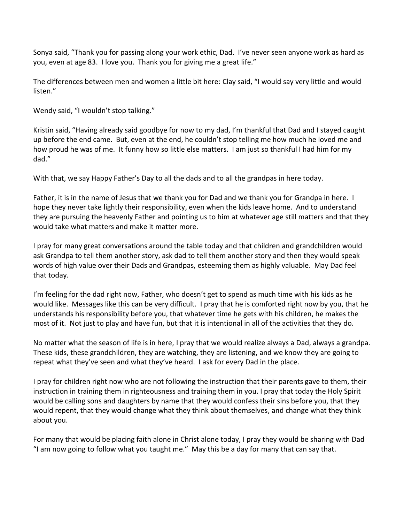Sonya said, "Thank you for passing along your work ethic, Dad. I've never seen anyone work as hard as you, even at age 83. I love you. Thank you for giving me a great life."

The differences between men and women a little bit here: Clay said, "I would say very little and would listen."

Wendy said, "I wouldn't stop talking."

Kristin said, "Having already said goodbye for now to my dad, I'm thankful that Dad and I stayed caught up before the end came. But, even at the end, he couldn't stop telling me how much he loved me and how proud he was of me. It funny how so little else matters. I am just so thankful I had him for my dad."

With that, we say Happy Father's Day to all the dads and to all the grandpas in here today.

Father, it is in the name of Jesus that we thank you for Dad and we thank you for Grandpa in here. I hope they never take lightly their responsibility, even when the kids leave home. And to understand they are pursuing the heavenly Father and pointing us to him at whatever age still matters and that they would take what matters and make it matter more.

I pray for many great conversations around the table today and that children and grandchildren would ask Grandpa to tell them another story, ask dad to tell them another story and then they would speak words of high value over their Dads and Grandpas, esteeming them as highly valuable. May Dad feel that today.

I'm feeling for the dad right now, Father, who doesn't get to spend as much time with his kids as he would like. Messages like this can be very difficult. I pray that he is comforted right now by you, that he understands his responsibility before you, that whatever time he gets with his children, he makes the most of it. Not just to play and have fun, but that it is intentional in all of the activities that they do.

No matter what the season of life is in here, I pray that we would realize always a Dad, always a grandpa. These kids, these grandchildren, they are watching, they are listening, and we know they are going to repeat what they've seen and what they've heard. I ask for every Dad in the place.

I pray for children right now who are not following the instruction that their parents gave to them, their instruction in training them in righteousness and training them in you. I pray that today the Holy Spirit would be calling sons and daughters by name that they would confess their sins before you, that they would repent, that they would change what they think about themselves, and change what they think about you.

For many that would be placing faith alone in Christ alone today, I pray they would be sharing with Dad "I am now going to follow what you taught me." May this be a day for many that can say that.